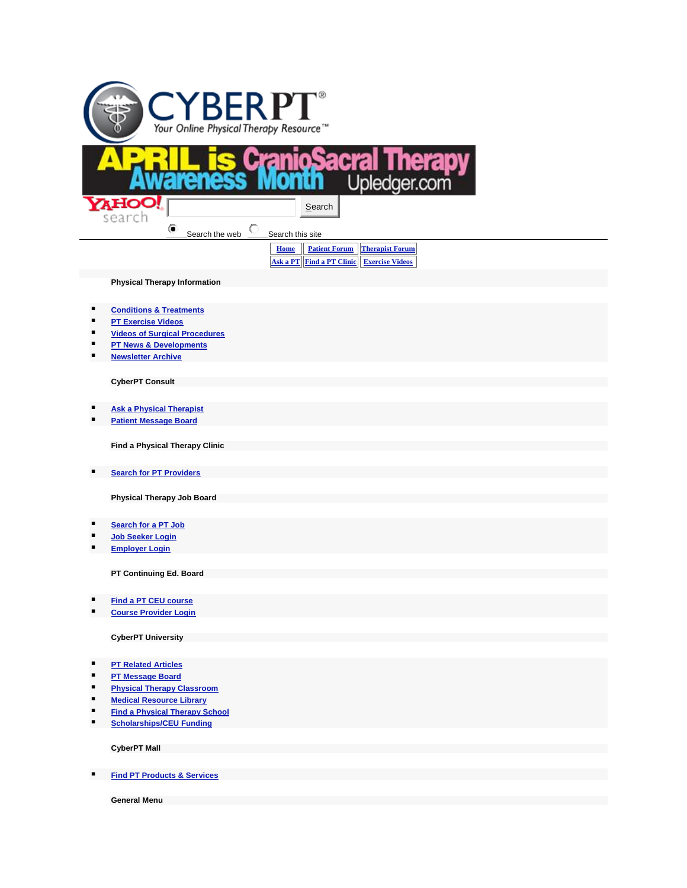

- **[Conditions & Treatments](http://www.cyberpt.com/cptcondtrtlistnov21.asp)**
- **[PT Exercise Videos](http://www.cyberpt.com/cptvidlist.asp)**
- **[Videos of Surgical Procedures](http://www.cyberpt.com/surgicalprocedures.asp)**
- **[PT News & Developments](http://www.cyberpt.com/physicaltherapynews.asp)**
- **[Newsletter Archive](http://archive.constantcontact.com/fs083/1102039761957/archive/1102125571410.html)**

**CyberPT Consult**

- **[Ask a Physical Therapist](http://www.cyberpt.com/cyberptconsultb.asp)**
- **[Patient Message Board](http://www.cyberpt.com/ptforum/default.asp?C=4)**

**Find a Physical Therapy Clinic**

**[Search for PT Providers](http://www.cyberpt.com/clinic/PTClinic.asp)** 

**Physical Therapy Job Board**

- **[Search for a PT Job](http://www.cyberpt.com/jbent)**
- **[Job Seeker Login](http://www.cyberpt.com/jbent/seeker_login.asp)**
- **[Employer Login](http://www.cyberpt.com/jbent/employerlogin.asp)**

**PT Continuing Ed. Board**

- **[Find a PT CEU course](http://www.cyberpt.com/ceb)**
- **E** [Course Provider Login](http://www.cyberpt.com/ceb/admin/employerlogin.asp)

**CyberPT University**

- **[PT Related Articles](http://www.cyberpt.com/cyberptarticlearchive.asp)**
- **[PT Message Board](http://www.cyberpt.com/ptforum)**
- **[Physical Therapy Classroom](http://www.cyberpt.com/CyberPTclassroom.asp)**
- **[Medical Resource Library](http://www.cyberpt.com/CyberPTmedlib.asp)**
- **[Find a Physical Therapy School](http://www.cyberpt.com/CyberPTFindaPTSchool.asp)**
- **[Scholarships/CEU Funding](http://www.cyberpt.com/CyberPTscholar.asp)**

**CyberPT Mall**

**[Find PT Products & Services](http://www.cyberpt.com/physicaltherapysuppliesequipment.asp)** 

**General Menu**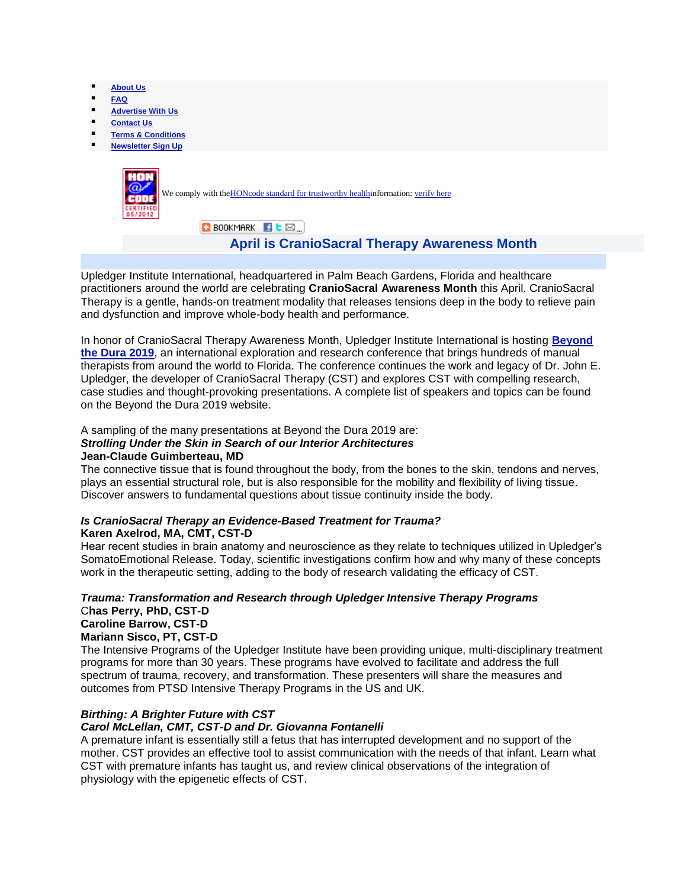- **[About Us](http://www.cyberpt.com/cyberptaboutus.asp)**
- **[FAQ](http://www.cyberpt.com/CyberPTfaq.asp)**
- **[Advertise With Us](http://www.cyberpt.com/cptadwithus.asp)**
- **[Contact Us](http://www.cyberpt.com/cyberptquescom.asp)**
- **[Terms & Conditions](http://www.cyberpt.com/CyberPTtermscond.asp)**
- **[Newsletter Sign Up](http://visitor.constantcontact.com/manage/optin/ea?v=0016kgdmuAR3nBZDI4TO89RPQ%3D%3D)**



# **April is CranioSacral Therapy Awareness Month**

Upledger Institute International, headquartered in Palm Beach Gardens, Florida and healthcare practitioners around the world are celebrating **CranioSacral Awareness Month** this April. CranioSacral Therapy is a gentle, hands-on treatment modality that releases tensions deep in the body to relieve pain and dysfunction and improve whole-body health and performance.

In honor of CranioSacral Therapy Awareness Month, Upledger Institute International is hosting **[Beyond](http://www.upledger.com/btd/2019/index.php)  [the Dura 2019](http://www.upledger.com/btd/2019/index.php)**, an international exploration and research conference that brings hundreds of manual therapists from around the world to Florida. The conference continues the work and legacy of Dr. John E. Upledger, the developer of CranioSacral Therapy (CST) and explores CST with compelling research, case studies and thought-provoking presentations. A complete list of speakers and topics can be found on the Beyond the Dura 2019 website.

A sampling of the many presentations at Beyond the Dura 2019 are: *Strolling Under the Skin in Search of our Interior Architectures* **Jean-Claude Guimberteau, MD**

The connective tissue that is found throughout the body, from the bones to the skin, tendons and nerves, plays an essential structural role, but is also responsible for the mobility and flexibility of living tissue. Discover answers to fundamental questions about tissue continuity inside the body.

#### *Is CranioSacral Therapy an Evidence-Based Treatment for Trauma?* **Karen Axelrod, MA, CMT, CST-D**

Hear recent studies in brain anatomy and neuroscience as they relate to techniques utilized in Upledger's SomatoEmotional Release. Today, scientific investigations confirm how and why many of these concepts work in the therapeutic setting, adding to the body of research validating the efficacy of CST.

## *Trauma: Transformation and Research through Upledger Intensive Therapy Programs* C**has Perry, PhD, CST-D Caroline Barrow, CST-D**

#### **Mariann Sisco, PT, CST-D**

The Intensive Programs of the Upledger Institute have been providing unique, multi-disciplinary treatment programs for more than 30 years. These programs have evolved to facilitate and address the full spectrum of trauma, recovery, and transformation. These presenters will share the measures and outcomes from PTSD Intensive Therapy Programs in the US and UK.

### *Birthing: A Brighter Future with CST*

#### *Carol McLellan, CMT, CST-D and Dr. Giovanna Fontanelli*

A premature infant is essentially still a fetus that has interrupted development and no support of the mother. CST provides an effective tool to assist communication with the needs of that infant. Learn what CST with premature infants has taught us, and review clinical observations of the integration of physiology with the epigenetic effects of CST.